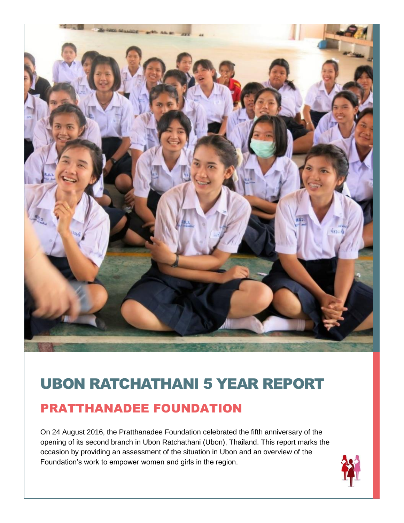

# UBON RATCHATHANI 5 YEAR REPORT

### PRATTHANADEE FOUNDATION

On 24 August 2016, the Pratthanadee Foundation celebrated the fifth anniversary of the opening of its second branch in Ubon Ratchathani (Ubon), Thailand. This report marks the occasion by providing an assessment of the situation in Ubon and an overview of the Foundation's work to empower women and girls in the region.

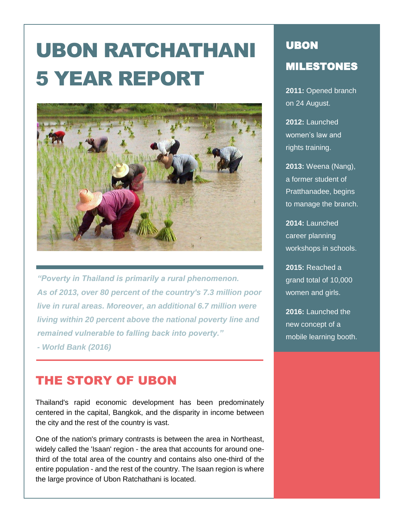# UBON RATCHATHANI 5 YEAR REPORT



*"Poverty in Thailand is primarily a rural phenomenon. As of 2013, over 80 percent of the country's 7.3 million poor live in rural areas. Moreover, an additional 6.7 million were living within 20 percent above the national poverty line and remained vulnerable to falling back into poverty."* 

*- World Bank (2016)*

### THE STORY OF UBON

Thailand's rapid economic development has been predominately centered in the capital, Bangkok, and the disparity in income between the city and the rest of the country is vast.

One of the nation's primary contrasts is between the area in Northeast, widely called the 'Isaan' region - the area that accounts for around onethird of the total area of the country and contains also one-third of the entire population - and the rest of the country. The Isaan region is where the large province of Ubon Ratchathani is located.

# UBON MILESTONES

**2011:** Opened branch on 24 August.

**2012:** Launched women's law and rights training.

**2013:** Weena (Nang), a former student of Pratthanadee, begins to manage the branch.

**2014:** Launched career planning workshops in schools.

**2015:** Reached a grand total of 10,000 women and girls.

**2016:** Launched the new concept of a mobile learning booth.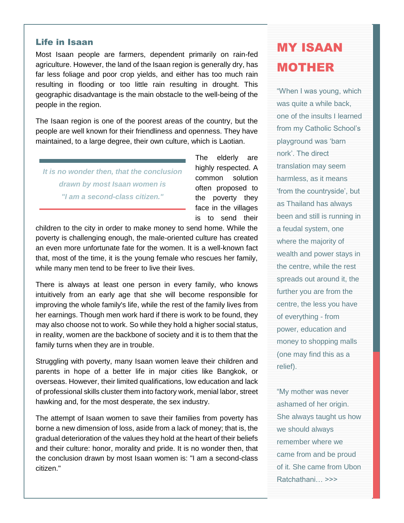#### Life in Isaan

Most Isaan people are farmers, dependent primarily on rain-fed agriculture. However, the land of the Isaan region is generally dry, has far less foliage and poor crop yields, and either has too much rain resulting in flooding or too little rain resulting in drought. This geographic disadvantage is the main obstacle to the well-being of the people in the region.

The Isaan region is one of the poorest areas of the country, but the people are well known for their friendliness and openness. They have maintained, to a large degree, their own culture, which is Laotian.

*It is no wonder then, that the conclusion drawn by most Isaan women is "I am a second-class citizen."*

The elderly are highly respected. A common solution often proposed to the poverty they face in the villages is to send their

children to the city in order to make money to send home. While the poverty is challenging enough, the male-oriented culture has created an even more unfortunate fate for the women. It is a well-known fact that, most of the time, it is the young female who rescues her family, while many men tend to be freer to live their lives.

There is always at least one person in every family, who knows intuitively from an early age that she will become responsible for improving the whole family's life, while the rest of the family lives from her earnings. Though men work hard if there is work to be found, they may also choose not to work. So while they hold a higher social status, in reality, women are the backbone of society and it is to them that the family turns when they are in trouble.

Struggling with poverty, many Isaan women leave their children and parents in hope of a better life in major cities like Bangkok, or overseas. However, their limited qualifications, low education and lack of professional skills cluster them into factory work, menial labor, street hawking and, for the most desperate, the sex industry.

The attempt of Isaan women to save their families from poverty has borne a new dimension of loss, aside from a lack of money; that is, the gradual deterioration of the values they hold at the heart of their beliefs and their culture: honor, morality and pride. It is no wonder then, that the conclusion drawn by most Isaan women is: "I am a second-class citizen."

## MY ISAAN MOTHER

"When I was young, which was quite a while back, one of the insults I learned from my Catholic School's playground was 'barn nork'. The direct translation may seem harmless, as it means 'from the countryside', but as Thailand has always been and still is running in a feudal system, one where the majority of wealth and power stays in the centre, while the rest spreads out around it, the further you are from the centre, the less you have of everything - from power, education and money to shopping malls (one may find this as a relief).

"My mother was never ashamed of her origin. She always taught us how we should always remember where we came from and be proud of it. She came from Ubon Ratchathani… >>>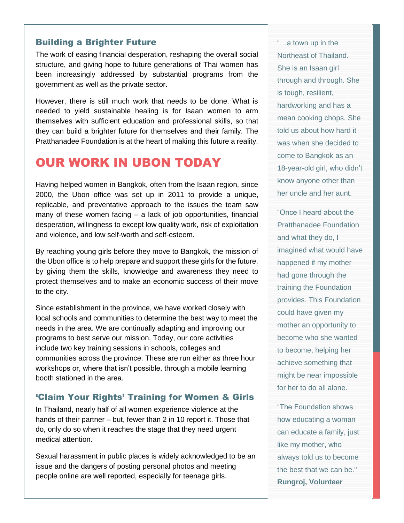#### Building a Brighter Future

The work of easing financial desperation, reshaping the overall social structure, and giving hope to future generations of Thai women has been increasingly addressed by substantial programs from the government as well as the private sector.

However, there is still much work that needs to be done. What is needed to yield sustainable healing is for Isaan women to arm themselves with sufficient education and professional skills, so that they can build a brighter future for themselves and their family. The Pratthanadee Foundation is at the heart of making this future a reality.

### OUR WORK IN UBON TODAY

Having helped women in Bangkok, often from the Isaan region, since 2000, the Ubon office was set up in 2011 to provide a unique, replicable, and preventative approach to the issues the team saw many of these women facing  $-$  a lack of job opportunities, financial desperation, willingness to except low quality work, risk of exploitation and violence, and low self-worth and self-esteem.

By reaching young girls before they move to Bangkok, the mission of the Ubon office is to help prepare and support these girls for the future, by giving them the skills, knowledge and awareness they need to protect themselves and to make an economic success of their move to the city.

Since establishment in the province, we have worked closely with local schools and communities to determine the best way to meet the needs in the area. We are continually adapting and improving our programs to best serve our mission. Today, our core activities include two key training sessions in schools, colleges and communities across the province. These are run either as three hour workshops or, where that isn't possible, through a mobile learning booth stationed in the area.

#### 'Claim Your Rights' Training for Women & Girls

In Thailand, nearly half of all women experience violence at the hands of their partner – but, fewer than 2 in 10 report it. Those that do, only do so when it reaches the stage that they need urgent medical attention.

Sexual harassment in public places is widely acknowledged to be an issue and the dangers of posting personal photos and meeting people online are well reported, especially for teenage girls.

"…a town up in the Northeast of Thailand. She is an Isaan girl through and through. She is tough, resilient, hardworking and has a mean cooking chops. She told us about how hard it was when she decided to come to Bangkok as an 18-year-old girl, who didn't know anyone other than her uncle and her aunt.

"Once I heard about the Pratthanadee Foundation and what they do, I imagined what would have happened if my mother had gone through the training the Foundation provides. This Foundation could have given my mother an opportunity to become who she wanted to become, helping her achieve something that might be near impossible for her to do all alone.

"The Foundation shows how educating a woman can educate a family, just like my mother, who always told us to become the best that we can be." **Rungroj, Volunteer**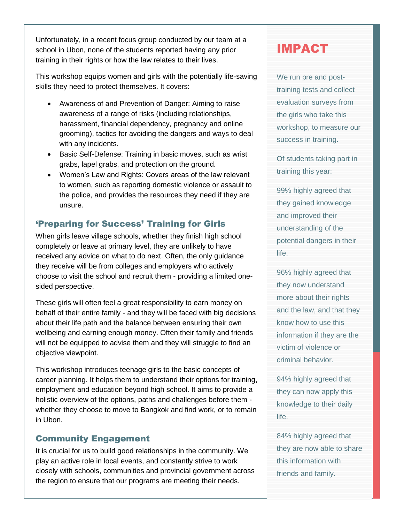Unfortunately, in a recent focus group conducted by our team at a school in Ubon, none of the students reported having any prior training in their rights or how the law relates to their lives.

This workshop equips women and girls with the potentially life-saving skills they need to protect themselves. It covers:

- Awareness of and Prevention of Danger: Aiming to raise awareness of a range of risks (including relationships, harassment, financial dependency, pregnancy and online grooming), tactics for avoiding the dangers and ways to deal with any incidents.
- Basic Self-Defense: Training in basic moves, such as wrist grabs, lapel grabs, and protection on the ground.
- Women's Law and Rights: Covers areas of the law relevant to women, such as reporting domestic violence or assault to the police, and provides the resources they need if they are unsure.

#### 'Preparing for Success' Training for Girls

When girls leave village schools, whether they finish high school completely or leave at primary level, they are unlikely to have received any advice on what to do next. Often, the only guidance they receive will be from colleges and employers who actively choose to visit the school and recruit them - providing a limited onesided perspective.

These girls will often feel a great responsibility to earn money on behalf of their entire family - and they will be faced with big decisions about their life path and the balance between ensuring their own wellbeing and earning enough money. Often their family and friends will not be equipped to advise them and they will struggle to find an objective viewpoint.

This workshop introduces teenage girls to the basic concepts of career planning. It helps them to understand their options for training, employment and education beyond high school. It aims to provide a holistic overview of the options, paths and challenges before them whether they choose to move to Bangkok and find work, or to remain in Ubon.

#### Community Engagement

It is crucial for us to build good relationships in the community. We play an active role in local events, and constantly strive to work closely with schools, communities and provincial government across the region to ensure that our programs are meeting their needs.

### IMPACT

We run pre and posttraining tests and collect evaluation surveys from the girls who take this workshop, to measure our success in training.

Of students taking part in training this year:

99% highly agreed that they gained knowledge and improved their understanding of the potential dangers in their life.

96% highly agreed that they now understand more about their rights and the law, and that they know how to use this information if they are the victim of violence or criminal behavior.

94% highly agreed that they can now apply this knowledge to their daily life.

84% highly agreed that they are now able to share this information with friends and family.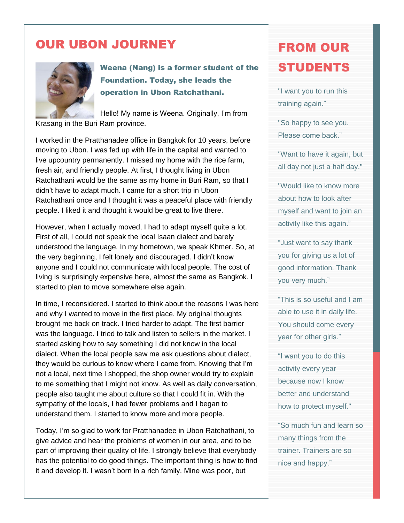### OUR UBON JOURNEY



#### Weena (Nang) is a former student of the Foundation. Today, she leads the operation in Ubon Ratchathani.

Hello! My name is Weena. Originally, I'm from Krasang in the Buri Ram province.

I worked in the Pratthanadee office in Bangkok for 10 years, before moving to Ubon. I was fed up with life in the capital and wanted to live upcountry permanently. I missed my home with the rice farm, fresh air, and friendly people. At first, I thought living in Ubon Ratchathani would be the same as my home in Buri Ram, so that I didn't have to adapt much. I came for a short trip in Ubon Ratchathani once and I thought it was a peaceful place with friendly people. I liked it and thought it would be great to live there.

However, when I actually moved, I had to adapt myself quite a lot. First of all, I could not speak the local Isaan dialect and barely understood the language. In my hometown, we speak Khmer. So, at the very beginning, I felt lonely and discouraged. I didn't know anyone and I could not communicate with local people. The cost of living is surprisingly expensive here, almost the same as Bangkok. I started to plan to move somewhere else again.

In time, I reconsidered. I started to think about the reasons I was here and why I wanted to move in the first place. My original thoughts brought me back on track. I tried harder to adapt. The first barrier was the language. I tried to talk and listen to sellers in the market. I started asking how to say something I did not know in the local dialect. When the local people saw me ask questions about dialect, they would be curious to know where I came from. Knowing that I'm not a local, next time I shopped, the shop owner would try to explain to me something that I might not know. As well as daily conversation, people also taught me about culture so that I could fit in. With the sympathy of the locals, I had fewer problems and I began to understand them. I started to know more and more people.

Today, I'm so glad to work for Pratthanadee in Ubon Ratchathani, to give advice and hear the problems of women in our area, and to be part of improving their quality of life. I strongly believe that everybody has the potential to do good things. The important thing is how to find it and develop it. I wasn't born in a rich family. Mine was poor, but

# FROM OUR STUDENTS

"I want you to run this training again."

"So happy to see you. Please come back."

"Want to have it again, but all day not just a half day."

"Would like to know more about how to look after myself and want to join an activity like this again."

"Just want to say thank you for giving us a lot of good information. Thank you very much."

"This is so useful and I am able to use it in daily life. You should come every year for other girls."

"I want you to do this activity every year because now I know better and understand how to protect myself."

"So much fun and learn so many things from the trainer. Trainers are so nice and happy."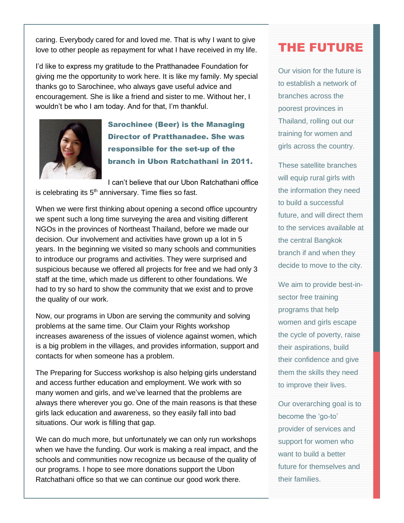caring. Everybody cared for and loved me. That is why I want to give love to other people as repayment for what I have received in my life.

I'd like to express my gratitude to the Pratthanadee Foundation for giving me the opportunity to work here. It is like my family. My special thanks go to Sarochinee, who always gave useful advice and encouragement. She is like a friend and sister to me. Without her, I wouldn't be who I am today. And for that, I'm thankful.



Sarochinee (Beer) is the Managing Director of Pratthanadee. She was responsible for the set-up of the branch in Ubon Ratchathani in 2011.

I can't believe that our Ubon Ratchathani office is celebrating its  $5<sup>th</sup>$  anniversary. Time flies so fast.

When we were first thinking about opening a second office upcountry we spent such a long time surveying the area and visiting different NGOs in the provinces of Northeast Thailand, before we made our decision. Our involvement and activities have grown up a lot in 5 years. In the beginning we visited so many schools and communities to introduce our programs and activities. They were surprised and suspicious because we offered all projects for free and we had only 3 staff at the time, which made us different to other foundations. We had to try so hard to show the community that we exist and to prove the quality of our work.

Now, our programs in Ubon are serving the community and solving problems at the same time. Our Claim your Rights workshop increases awareness of the issues of violence against women, which is a big problem in the villages, and provides information, support and contacts for when someone has a problem.

The Preparing for Success workshop is also helping girls understand and access further education and employment. We work with so many women and girls, and we've learned that the problems are always there wherever you go. One of the main reasons is that these girls lack education and awareness, so they easily fall into bad situations. Our work is filling that gap.

We can do much more, but unfortunately we can only run workshops when we have the funding. Our work is making a real impact, and the schools and communities now recognize us because of the quality of our programs. I hope to see more donations support the Ubon Ratchathani office so that we can continue our good work there.

### THE FUTURE

Our vision for the future is to establish a network of branches across the poorest provinces in Thailand, rolling out our training for women and girls across the country.

These satellite branches will equip rural girls with the information they need to build a successful future, and will direct them to the services available at the central Bangkok branch if and when they decide to move to the city.

We aim to provide best-insector free training programs that help women and girls escape the cycle of poverty, raise their aspirations, build their confidence and give them the skills they need to improve their lives.

Our overarching goal is to become the 'go-to' provider of services and support for women who want to build a better future for themselves and their families.